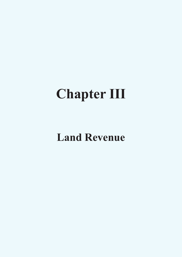# **Chapter III**

# **Land Revenue**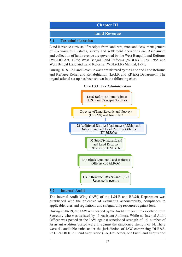

Land Revenue consists of receipts from land rent, rates and cess, management of *Ex*-*Zamindari* Estates, survey and settlement operations *etc*. Assessment and collection of land revenue are governed by the West Bengal Land Reforms (WBLR) Act, 1955; West Bengal Land Reforms (WBLR) Rules, 1965 and West Bengal Land and Land Reforms (WBL&LR) Manual, 1991.

During 2018-19, Land Revenue was administered by the Land and Land Reforms and Refugee Relief and Rehabilitation (L&LR and RR&R) Department. The organisational set up has been shown in the following chart:



#### **Chart 3.1: Tax Administration**

#### **3.2 Internal Audit**

The Internal Audit Wing (IAW) of the L&LR and RR&R Department was established with the objective of evaluating accountability, compliance to applicable rules and regulations and safeguarding resources against loss.

During 2018-19, the IAW was headed by the Audit Officer cum ex-officio Joint Secretary who was assisted by 11 Assistant Auditors. While no Internal Audit Officer was posted in the IAW against sanctioned strength of 16, number of Assistant Auditors posted were 11 against the sanctioned strength of 14. There were 51 auditable units under the jurisdiction of IAW comprising DLR&S, 22 DL&LROs, 23 Land Acquisition (LA) Collectors, one First Land Acquisition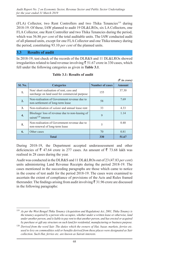(FLA) Collector, two Rent Controllers and two Thika Tenancies<sup>119</sup> during 2018-19. Of these, IAW planned to audit 19 DL&LROs, six LA Collectors, one FLA Collector, one Rent Controller and two Thika Tenancies during the period, which was 56.86 *per cent* of the total auditable units. The IAW conducted audit of all planned units, except for one FLA Collector and one Thika tenancy during the period, constituting 93.10 *per cent* of the planned units.

# **3.3 Results of audit**

In 2018-19, test check of the records of the DLR&S and 11 DL&LROs showed irregularities related to land revenue involving  $\bar{\bar{\xi}}$  51.67 crore in 330 cases, which fell under the following categories as given in **Table 3.1**.

|                |                                                                                          |                        | $(3 \nvert n \text{ error})$ |
|----------------|------------------------------------------------------------------------------------------|------------------------|------------------------------|
| <b>Sl. No.</b> | <b>Categories</b>                                                                        | <b>Number of cases</b> | <b>Amount</b>                |
| 1.             | Non/short realisation of rent, cess and<br>surcharge on land used for commercial purpose | 155                    | 37.30                        |
| 2.             | Non-realisation of Government revenue due to<br>non-settlement of long-term lease        | 58                     | 7.69                         |
| 3.             | Non-realisation of <i>salami</i> and annual lease rent                                   | 33                     | 4.33                         |
| 4.             | Blockage/loss of revenue due to non-leasing of<br>sairati <sup>120</sup> interest        | 9                      | 1.14                         |
| 5.             | Non-realisation of Government revenue due to<br>non-renewal of long-term lease           | 5                      | 0.40                         |
| 6.             | Other cases                                                                              | 70                     | 0.81                         |
| <b>Total</b>   |                                                                                          | 330                    | 51.67                        |

#### **Table 3.1: Results of audit**

During 2018-19, the Department accepted underassessment and other deficiencies of  $\bar{\xi}$  47.64 crore in 277 cases. An amount of  $\bar{\xi}$  73.68 lakh was realised in 28 cases during the year.

Audit was conducted in the DLR&S and 11 DL&LROs out of 23 (47.83 *per cent*) units administering Land Revenue Receipts during the period 2018-19. The cases mentioned in the succeeding paragraphs are those which came to notice in the course of test audit for the period 2018-19. The cases were examined to ascertain the extent of compliance of provisions of the Acts and Rules framed thereunder. The findings arising from audit involving  $\bar{\tau}$  31.96 crore are discussed in the following paragraphs:

<sup>119</sup> *As per the West Bengal Thika Tenancy (Acquisition and Regulation) Act, 2001, Thika Tenancy is the tenancy acquired by a person who occupies, whether under a written lease or otherwise, land under another person, and is liable to pay rent to that another person, and has erected or acquired by purchase or gift any structure on such land for residential, manufacturing or business purpose.*

<sup>&</sup>lt;sup>120</sup> Derived from the word Sair. The duties which the owners of Hat, bazar, markets, ferries etc. *used to levy on commodities sold or benefits derived from these places were designated as Sair collection. Such Hat, ferries etc. are known as Sairati interests.*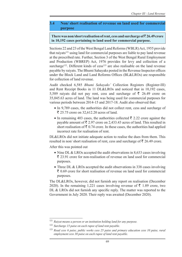# **3.4 Non/ short realisation of revenue on land used for commercial purpose**

## There was non/short realisation of rent, cess and surcharge of  $\bar{\tau}$  26.49 crore **in 10,192 cases pertaining to land used for commercial purpose.**

Sections 22 and 23 of the West Bengal Land Reforms (WBLR) Act, 1955 provide that raivats<sup>121</sup> using land for commercial purposes are liable to pay land revenue at the prescribed rate. Further, Section 3 of the West Bengal Rural Employment and Production (WBREP) Act, 1976 provides for levy and collection of a surcharge<sup>122</sup>. Different kinds of cess<sup>123</sup> are also realisable on the land revenue payable by raiyats. The Bhumi Sahayaks posted in the Revenue Inspector offices under the Block Land and Land Reforms Offices (BL&LROs) are responsible for collection of land revenue.

Audit checked 6,585 *Bhumi Sahayaks'* Collection Registers (Register-III) and Rent Receipt Books in 11 DL&LROs and noticed that in 10,192 cases, 5,589 raiyats did not pay rent, cess and surcharge of  $\bar{\tau}$  26.49 crore on 35,045.63 acres of land. The land was being used for commercial purposes for various periods between 2014-15 and 2017-18. Audit also observed that:

- In 9,789 cases, the authorities did not collect rent, cess and surcharge of ₹ 25.75 crore on 32,612.20 acres of land.
- In remaining 403 cases, the authorities collected  $\bar{\tau}$  2.22 crore against the payable amount of  $\bar{\xi}$  2.97 crore on 2,433.43 acres of land. This resulted in short realisation of  $\bar{\tau}$  0.74 crore. In these cases, the authorities had applied incorrect rate for realisation of rent.

DL&LROs did not initiate adequate action to realise the dues from them. This resulted in non/ short realisation of rent, cess and surcharge of  $\bar{\tau}$  26.49 crore.

After this was pointed out

- Nine DL & LROs accepted the audit observations in 8,633 cases involving  $\bar{\tau}$  23.91 crore for non-realisation of revenue on land used for commercial purposes.
- Three DL & LROs accepted the audit observations in 338 cases involving  $\bar{\xi}$  0.69 crore for short realisation of revenue on land used for commercial purposes.

The DL&LROs, however, did not furnish any report on realisation (December 2020). In the remaining 1,221 cases involving revenue of  $\bar{\tau}$  1.89 crore, two DL & LROs did not furnish any specific reply. The matter was reported to the Government in July 2020. Their reply was awaited (December 2020).

<sup>121</sup> *Raiyat means a person or an institution holding land for any purpose.*

<sup>122</sup> *Surcharge 15 paise on each rupee of land rent payable.*

<sup>123</sup> *Road cess 6 paise, public works cess 25 paise and primary education cess 10 paise, rural employment cess 30 paise on each rupee of land rent payable*.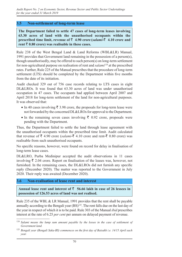#### **3.5 Non-settlement of long-term lease**

**The Department failed to settle 47 cases of long-term leases involving 63.30 acres of land with the unauthorised occupants within the prescribed time limit, revenue of**  $\bar{\tau}$  **4.90 crore**  $\{salami-\bar{\tau}\}$  4.10 crore and rent  $\bar{\tau}$  0.80 crore) was realisable in these cases.

Rule 238 of the West Bengal Land & Land Reforms (WBL&LR) Manual, 1991 provides that Government land remaining in the possession of a person(s), though unauthorisedly, may be offered to such person(s) on long-term settlement for non-agricultural purpose on realisation of rent and *salami*124 at the prescribed rates. Further, Rule 225 of the Manual prescribes that the procedure of long-term settlement (LTS) should be completed by the Department within five months from the date of its initiation.

Audit checked 329 out of 756 case records relating to LTS cases in eight DL&LROs. It was found that 63.30 acres of land was under unauthorised occupation in 47 cases. The occupants had applied between April 2007 and April 2018 for long-term settlement of the land for non-agricultural purposes. It was observed that:

- In 40 cases involving  $\bar{\tau}$  3.98 crore, the proposals for long-term lease were not forwarded by the concerned DL&LROs for approval to the Department.
- In the remaining seven cases involving  $\bar{\tau}$  0.92 crore, proposals were pending with the Department.

Thus, the Department failed to settle the land through lease agreement with the unauthorised occupants within the prescribed time limit. Audit calculated that revenue of  $\bar{\xi}$  4.90 crore (*salami*- $\bar{\xi}$  4.10 crore and rent- $\bar{\xi}$  0.80 crore) was realisable from such unauthorised occupants.

No specific reasons, however, were found on record for delay in finalisation of long-term lease cases.

DL&LRO, Purba Medinipur accepted the audit observations in 11 cases involving  $\bar{\xi}$  2.04 crore. Report on finalisation of the leases was, however, not furnished. In the remaining cases, the DL&LROs did not furnish any specific reply (December 2020). The matter was reported to the Government in July 2020. Their reply was awaited (December 2020).

## **3.6 Non-realisation of lease rent and interest**

Annual lease rent and interest of  $\bar{\tau}$  56.66 lakh in case of 26 lessees in **possession of 126.53 acres of land was not realised.**

Rule 235 of the WBL & LR Manual, 1991 provides that the rent shall be payable annually according to the Bengali year  $(BS)^{125}$ . The rent falls due on the last day of the year in respect of which it is to be paid. Rule 303 of the Manual *ibid* prescribes interest at the rate of 6.25 *per cent* per annum on delayed payment of revenue.

<sup>&</sup>lt;sup>124</sup> Salami means the lump sum amount payable by the lessee in the case of settlement of *Government land.*

<sup>125</sup> *Bengali year (Bengali Saka-BS) commences on the first day of Baisakh i.e. 14/15 April each year.*